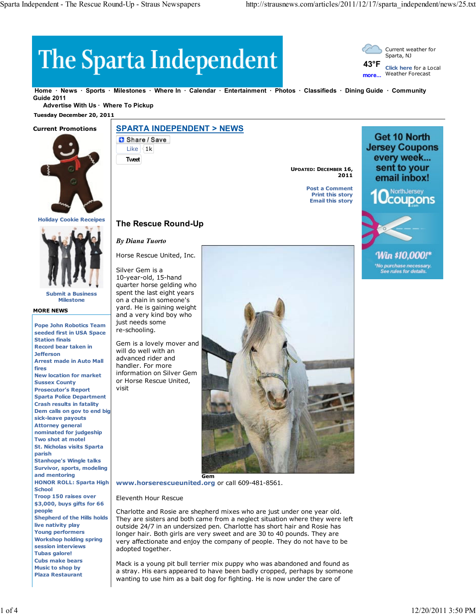# The Sparta Independent



**Home News Sports Milestones Where In Calendar Entertainment Photos Classifieds Dining Guide Community Guide 2011**

**Advertise With Us · Where To Pickup** 

 **Tuesday December 20, 2011**

## **Current Promotions**



**Holiday Cookie Receipes**



**Submit a Business Milestone**

#### **MORE NEWS**

**Pope John Robotics Team seeded first in USA Space Station finals Record bear taken in Jefferson Arrest made in Auto Mall fires New location for market Sussex County Prosecutor's Report Sparta Police Department Crash results in fatality Dem calls on gov to end big sick-leave payouts Attorney general nominated for judgeship Two shot at motel St. Nicholas visits Sparta parish Stanhope's Wingle talks Survivor, sports, modeling and mentoring HONOR ROLL: Sparta High School Troop 150 raises over \$3,000, buys gifts for 66 people Shepherd of the Hills holds live nativity play Young performers Workshop holding spring session interviews Tubas galore! Cubs make bears Music to shop by Plaza Restaurant**

**SPARTA INDEPENDENT > NEWS**

Share / Save Like  $|4k$ 

**Tweet**

**UPDATED: DECEMBER 16, 2011**

> **Post a Comment Print this story Email this story**



Win \$10.000!\* 'No purchase necessary.<br>See rules for details.

*By Diana Tuorto* Horse Rescue United, Inc.

**The Rescue Round-Up**

Silver Gem is a

10-year-old, 15-hand quarter horse gelding who spent the last eight years on a chain in someone's yard. He is gaining weight and a very kind boy who just needs some re-schooling.

Gem is a lovely mover and will do well with an advanced rider and handler. For more information on Silver Gem or Horse Rescue United, visit



**www.horserescueunited.org** or call 609-481-8561.

## Eleventh Hour Rescue

Charlotte and Rosie are shepherd mixes who are just under one year old. They are sisters and both came from a neglect situation where they were left outside 24/7 in an undersized pen. Charlotte has short hair and Rosie has longer hair. Both girls are very sweet and are 30 to 40 pounds. They are very affectionate and enjoy the company of people. They do not have to be adopted together.

Mack is a young pit bull terrier mix puppy who was abandoned and found as a stray. His ears appeared to have been badly cropped, perhaps by someone wanting to use him as a bait dog for fighting. He is now under the care of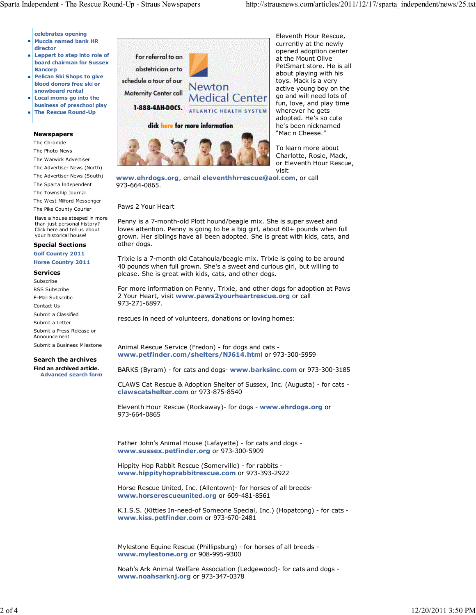**celebrates opening Muccia named bank HR director**

- **Leppert to step into role of board chairman for Sussex Bancorp**
- **Pelican Ski Shops to give blood donors free ski or**
- **snowboard rental Local moms go into the**
- **business of preschool play The Rescue Round-Up**

## **Newspapers**

The Chronicle

The Photo News The Warwick Advertiser The Advertiser News (North) The Advertiser News (South) The Sparta Independent The Township Journal The West Milford Messenger The Pike County Courier Have a house steeped in more

than just personal history? Click here and tell us about your historical house!

**Special Sections Golf Country 2011**

**Horse Country 2011**

### **Services**

Subscribe RSS Subscribe E-Mail Subscribe Contact Us Submit a Classified Submit a Letter Submit a Press Release or Announcement Submit a Business Milestone

## **Search the archives**

**Find an archived article. Advanced search form**



Eleventh Hour Rescue, currently at the newly opened adoption center at the Mount Olive PetSmart store. He is all about playing with his toys. Mack is a very active young boy on the go and will need lots of fun, love, and play time wherever he gets adopted. He's so cute he's been nicknamed "Mac n Cheese."

To learn more about Charlotte, Rosie, Mack, or Eleventh Hour Rescue, visit

**www.ehrdogs.org**, email **eleventhhrrescue@aol.com**, or call 973-664-0865.

### Paws 2 Your Heart

Penny is a 7-month-old Plott hound/beagle mix. She is super sweet and loves attention. Penny is going to be a big girl, about 60+ pounds when full grown. Her siblings have all been adopted. She is great with kids, cats, and other dogs.

Trixie is a 7-month old Catahoula/beagle mix. Trixie is going to be around 40 pounds when full grown. She's a sweet and curious girl, but willing to please. She is great with kids, cats, and other dogs.

For more information on Penny, Trixie, and other dogs for adoption at Paws 2 Your Heart, visit **www.paws2yourheartrescue.org** or call 973-271-6897.

rescues in need of volunteers, donations or loving homes:

Animal Rescue Service (Fredon) - for dogs and cats **www.petfinder.com/shelters/NJ614.html** or 973-300-5959

BARKS (Byram) - for cats and dogs- **www.barksinc.com** or 973-300-3185

CLAWS Cat Rescue & Adoption Shelter of Sussex, Inc. (Augusta) - for cats **clawscatshelter.com** or 973-875-8540

Eleventh Hour Rescue (Rockaway)- for dogs - **www.ehrdogs.org** or 973-664-0865

Father John's Animal House (Lafayette) - for cats and dogs **www.sussex.petfinder.org** or 973-300-5909

Hippity Hop Rabbit Rescue (Somerville) - for rabbits **www.hippityhoprabbitrescue.com** or 973-393-2922

Horse Rescue United, Inc. (Allentown)- for horses of all breeds**www.horserescueunited.org** or 609-481-8561

K.I.S.S. (Kitties In-need-of Someone Special, Inc.) (Hopatcong) - for cats **www.kiss.petfinder.com** or 973-670-2481

Mylestone Equine Rescue (Phillipsburg) - for horses of all breeds **www.mylestone.org** or 908-995-9300

Noah's Ark Animal Welfare Association (Ledgewood)- for cats and dogs **www.noahsarknj.org** or 973-347-0378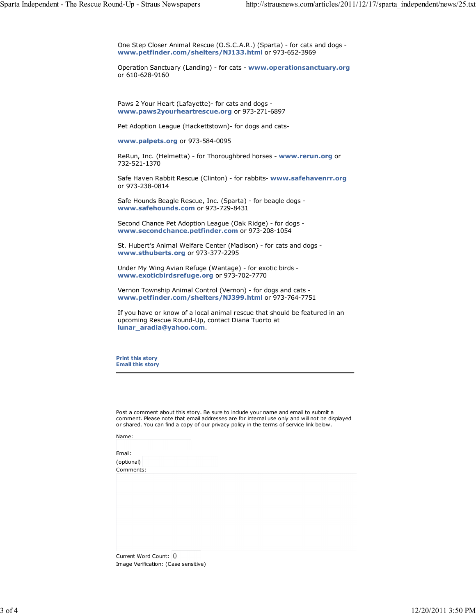| One Step Closer Animal Rescue (O.S.C.A.R.) (Sparta) - for cats and dogs -<br>www.petfinder.com/shelters/NJ133.html or 973-652-3969                                                                                                                                               |
|----------------------------------------------------------------------------------------------------------------------------------------------------------------------------------------------------------------------------------------------------------------------------------|
| Operation Sanctuary (Landing) - for cats - www.operationsanctuary.org<br>or 610-628-9160                                                                                                                                                                                         |
|                                                                                                                                                                                                                                                                                  |
| Paws 2 Your Heart (Lafayette) - for cats and dogs -<br>www.paws2yourheartrescue.org or 973-271-6897                                                                                                                                                                              |
| Pet Adoption League (Hackettstown) - for dogs and cats-                                                                                                                                                                                                                          |
| www.palpets.org or 973-584-0095                                                                                                                                                                                                                                                  |
| ReRun, Inc. (Helmetta) - for Thoroughbred horses - www.rerun.org or<br>732-521-1370                                                                                                                                                                                              |
| Safe Haven Rabbit Rescue (Clinton) - for rabbits- www.safehavenrr.org<br>or 973-238-0814                                                                                                                                                                                         |
| Safe Hounds Beagle Rescue, Inc. (Sparta) - for beagle dogs -<br>www.safehounds.com or 973-729-8431                                                                                                                                                                               |
| Second Chance Pet Adoption League (Oak Ridge) - for dogs -<br>www.secondchance.petfinder.com or 973-208-1054                                                                                                                                                                     |
| St. Hubert's Animal Welfare Center (Madison) - for cats and dogs -<br>www.sthuberts.org or 973-377-2295                                                                                                                                                                          |
| Under My Wing Avian Refuge (Wantage) - for exotic birds -<br>www.exoticbirdsrefuge.org or 973-702-7770                                                                                                                                                                           |
| Vernon Township Animal Control (Vernon) - for dogs and cats -<br>www.petfinder.com/shelters/NJ399.html or 973-764-7751                                                                                                                                                           |
| If you have or know of a local animal rescue that should be featured in an<br>upcoming Rescue Round-Up, contact Diana Tuorto at<br>lunar_aradia@yahoo.com                                                                                                                        |
| <b>Print this story</b><br><b>Email this story</b>                                                                                                                                                                                                                               |
|                                                                                                                                                                                                                                                                                  |
|                                                                                                                                                                                                                                                                                  |
| Post a comment about this story. Be sure to include your name and email to submit a<br>comment. Please note that email addresses are for internal use only and will not be displayed<br>or shared. You can find a copy of our privacy policy in the terms of service link below. |
| Name:                                                                                                                                                                                                                                                                            |
| Email:                                                                                                                                                                                                                                                                           |
| (optional)                                                                                                                                                                                                                                                                       |
| Comments:                                                                                                                                                                                                                                                                        |
|                                                                                                                                                                                                                                                                                  |
| Current Word Count: 0<br>Image Verification: (Case sensitive)                                                                                                                                                                                                                    |